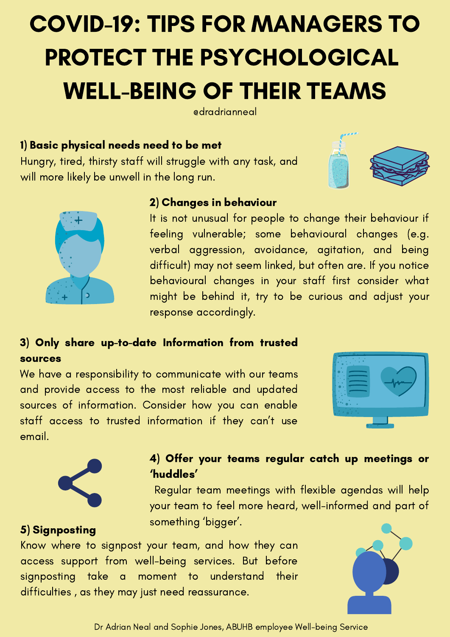# COVID-19: TIPS FOR MANAGERS TO PROTECT THE PSYCHOLOGICAL WELL-BEING OF THEIR TEAMS

**edradrianneal** 

### 1) Basic physical needs need to be met

Hungry, tired, thirsty staff will struggle with any task, and will more likely be unwell in the long run.





### 2) Changes in behaviour

It is not unusual for people to change their behaviour if feeling vulnerable; some behavioural changes (e.g. verbal aggression, avoidance, agitation, and being difficult) may not seem linked, but often are. If you notice behavioural changes in your staff first consider what might be behind it, try to be curious and adjust your response accordingly.

# 3) Only share up-to-date Information from trusted sources

We have a responsibility to communicate with our teams and provide access to the most reliable and updated sources of information. Consider how you can enable staff access to trusted information if they can't use email.





5) Signposting

# 4) Offer your teams regular catch up meetings or 'huddles'

Regular team meetings with flexible agendas will help your team to feel more heard, well-informed and part of something 'bigger'.

Know where to signpost your team, and how they can access support from well-being services. But before signposting take a moment to understand their difficulties , as they may just need reassurance.